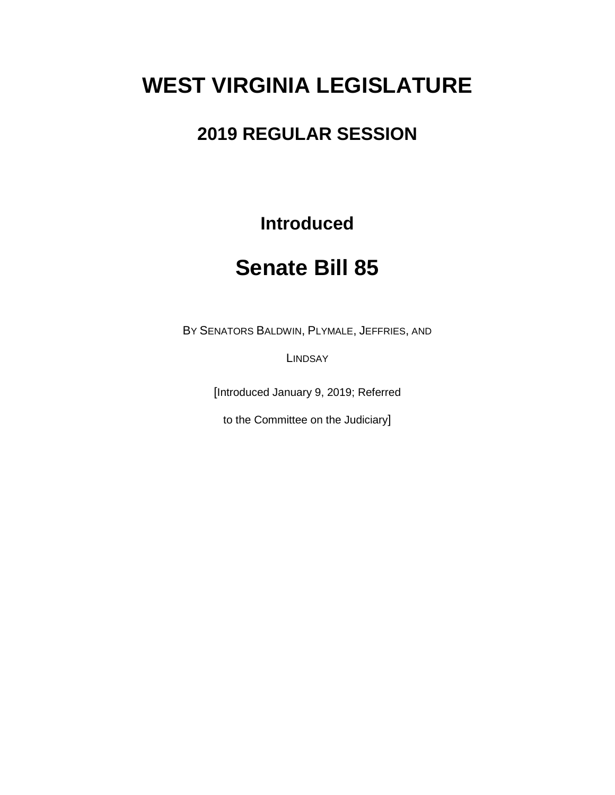# **WEST VIRGINIA LEGISLATURE**

## **2019 REGULAR SESSION**

**Introduced**

## **Senate Bill 85**

BY SENATORS BALDWIN, PLYMALE, JEFFRIES, AND

**LINDSAY** 

[Introduced January 9, 2019; Referred

to the Committee on the Judiciary]